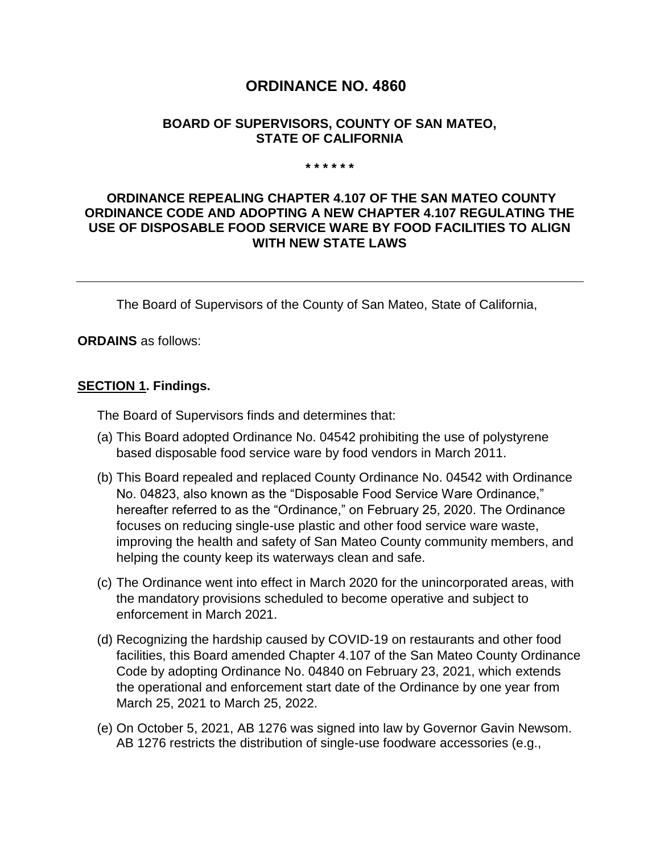# **ORDINANCE NO. 4860**

#### **BOARD OF SUPERVISORS, COUNTY OF SAN MATEO, STATE OF CALIFORNIA**

#### **\* \* \* \* \* \***

#### **ORDINANCE REPEALING CHAPTER 4.107 OF THE SAN MATEO COUNTY ORDINANCE CODE AND ADOPTING A NEW CHAPTER 4.107 REGULATING THE USE OF DISPOSABLE FOOD SERVICE WARE BY FOOD FACILITIES TO ALIGN WITH NEW STATE LAWS**

The Board of Supervisors of the County of San Mateo, State of California,

**ORDAINS** as follows:

#### **SECTION 1. Findings.**

The Board of Supervisors finds and determines that:

- (a) This Board adopted Ordinance No. 04542 prohibiting the use of polystyrene based disposable food service ware by food vendors in March 2011.
- (b) This Board repealed and replaced County Ordinance No. 04542 with Ordinance No. 04823, also known as the "Disposable Food Service Ware Ordinance," hereafter referred to as the "Ordinance," on February 25, 2020. The Ordinance focuses on reducing single-use plastic and other food service ware waste, improving the health and safety of San Mateo County community members, and helping the county keep its waterways clean and safe.
- (c) The Ordinance went into effect in March 2020 for the unincorporated areas, with the mandatory provisions scheduled to become operative and subject to enforcement in March 2021.
- (d) Recognizing the hardship caused by COVID-19 on restaurants and other food facilities, this Board amended Chapter 4.107 of the San Mateo County Ordinance Code by adopting Ordinance No. 04840 on February 23, 2021, which extends the operational and enforcement start date of the Ordinance by one year from March 25, 2021 to March 25, 2022.
- (e) On October 5, 2021, AB 1276 was signed into law by Governor Gavin Newsom. AB 1276 restricts the distribution of single-use foodware accessories (e.g.,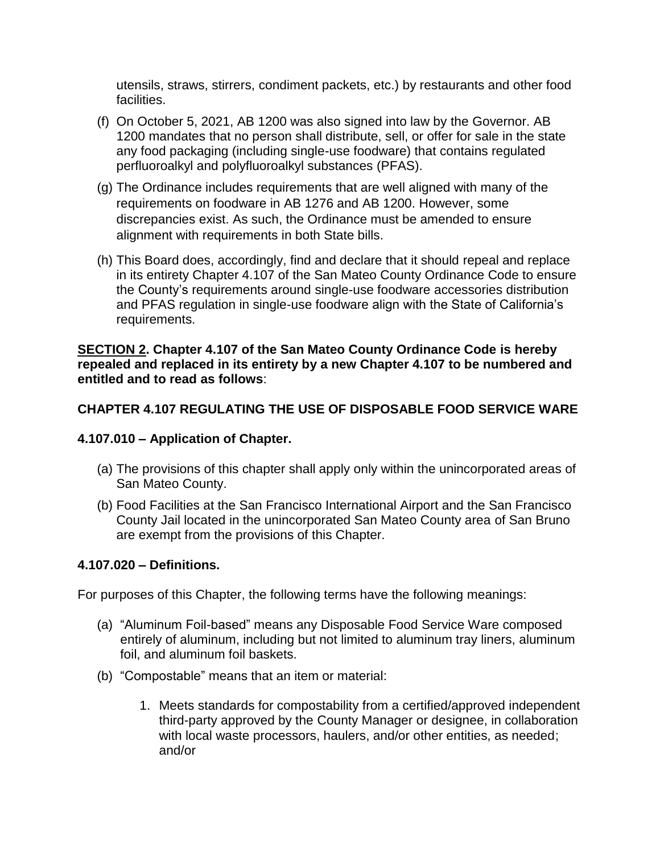utensils, straws, stirrers, condiment packets, etc.) by restaurants and other food facilities.

- (f) On October 5, 2021, AB 1200 was also signed into law by the Governor. AB 1200 mandates that no person shall distribute, sell, or offer for sale in the state any food packaging (including single-use foodware) that contains regulated perfluoroalkyl and polyfluoroalkyl substances (PFAS).
- (g) The Ordinance includes requirements that are well aligned with many of the requirements on foodware in AB 1276 and AB 1200. However, some discrepancies exist. As such, the Ordinance must be amended to ensure alignment with requirements in both State bills.
- (h) This Board does, accordingly, find and declare that it should repeal and replace in its entirety Chapter 4.107 of the San Mateo County Ordinance Code to ensure the County's requirements around single-use foodware accessories distribution and PFAS regulation in single-use foodware align with the State of California's requirements.

#### **SECTION 2. Chapter 4.107 of the San Mateo County Ordinance Code is hereby repealed and replaced in its entirety by a new Chapter 4.107 to be numbered and entitled and to read as follows**:

## **CHAPTER 4.107 REGULATING THE USE OF DISPOSABLE FOOD SERVICE WARE**

## **4.107.010 – Application of Chapter.**

- (a) The provisions of this chapter shall apply only within the unincorporated areas of San Mateo County.
- (b) Food Facilities at the San Francisco International Airport and the San Francisco County Jail located in the unincorporated San Mateo County area of San Bruno are exempt from the provisions of this Chapter.

#### **4.107.020 – Definitions.**

For purposes of this Chapter, the following terms have the following meanings:

- (a) "Aluminum Foil-based" means any Disposable Food Service Ware composed entirely of aluminum, including but not limited to aluminum tray liners, aluminum foil, and aluminum foil baskets.
- (b) "Compostable" means that an item or material:
	- 1. Meets standards for compostability from a certified/approved independent third-party approved by the County Manager or designee, in collaboration with local waste processors, haulers, and/or other entities, as needed; and/or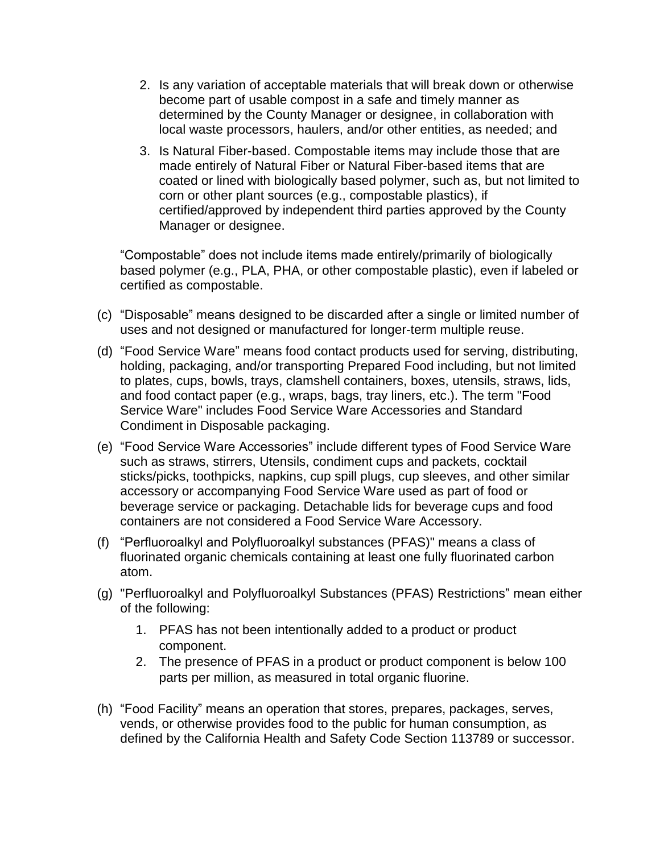- 2. Is any variation of acceptable materials that will break down or otherwise become part of usable compost in a safe and timely manner as determined by the County Manager or designee, in collaboration with local waste processors, haulers, and/or other entities, as needed; and
- 3. Is Natural Fiber-based. Compostable items may include those that are made entirely of Natural Fiber or Natural Fiber-based items that are coated or lined with biologically based polymer, such as, but not limited to corn or other plant sources (e.g., compostable plastics), if certified/approved by independent third parties approved by the County Manager or designee.

"Compostable" does not include items made entirely/primarily of biologically based polymer (e.g., PLA, PHA, or other compostable plastic), even if labeled or certified as compostable.

- (c) "Disposable" means designed to be discarded after a single or limited number of uses and not designed or manufactured for longer-term multiple reuse.
- (d) "Food Service Ware" means food contact products used for serving, distributing, holding, packaging, and/or transporting Prepared Food including, but not limited to plates, cups, bowls, trays, clamshell containers, boxes, utensils, straws, lids, and food contact paper (e.g., wraps, bags, tray liners, etc.). The term "Food Service Ware" includes Food Service Ware Accessories and Standard Condiment in Disposable packaging.
- (e) "Food Service Ware Accessories" include different types of Food Service Ware such as straws, stirrers, Utensils, condiment cups and packets, cocktail sticks/picks, toothpicks, napkins, cup spill plugs, cup sleeves, and other similar accessory or accompanying Food Service Ware used as part of food or beverage service or packaging. Detachable lids for beverage cups and food containers are not considered a Food Service Ware Accessory.
- (f) "Perfluoroalkyl and Polyfluoroalkyl substances (PFAS)" means a class of fluorinated organic chemicals containing at least one fully fluorinated carbon atom.
- (g) "Perfluoroalkyl and Polyfluoroalkyl Substances (PFAS) Restrictions" mean either of the following:
	- 1. PFAS has not been intentionally added to a product or product component.
	- 2. The presence of PFAS in a product or product component is below 100 parts per million, as measured in total organic fluorine.
- (h) "Food Facility" means an operation that stores, prepares, packages, serves, vends, or otherwise provides food to the public for human consumption, as defined by the California Health and Safety Code Section 113789 or successor.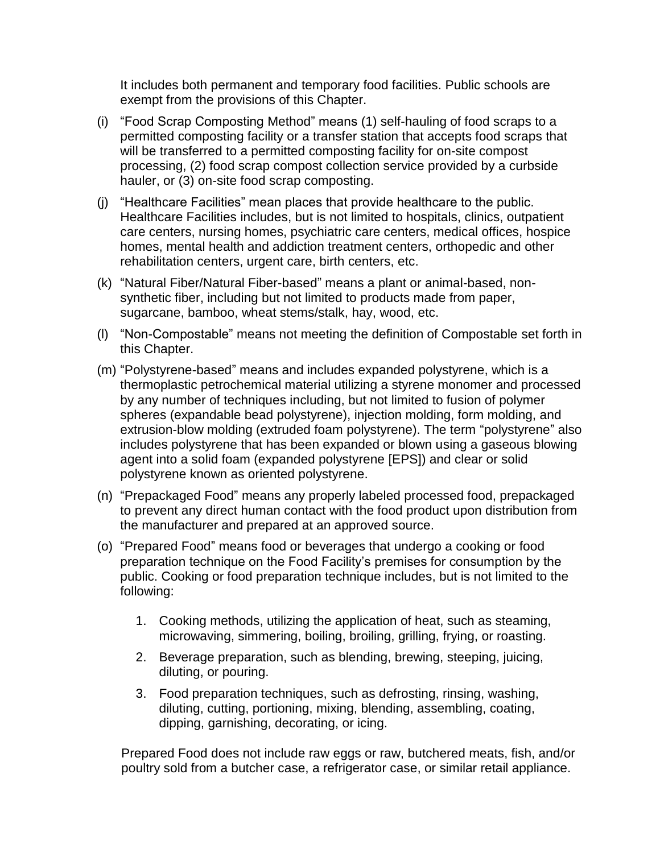It includes both permanent and temporary food facilities. Public schools are exempt from the provisions of this Chapter.

- (i) "Food Scrap Composting Method" means (1) self-hauling of food scraps to a permitted composting facility or a transfer station that accepts food scraps that will be transferred to a permitted composting facility for on-site compost processing, (2) food scrap compost collection service provided by a curbside hauler, or (3) on-site food scrap composting.
- (j) "Healthcare Facilities" mean places that provide healthcare to the public. Healthcare Facilities includes, but is not limited to hospitals, clinics, outpatient care centers, nursing homes, psychiatric care centers, medical offices, hospice homes, mental health and addiction treatment centers, orthopedic and other rehabilitation centers, urgent care, birth centers, etc.
- (k) "Natural Fiber/Natural Fiber-based" means a plant or animal-based, nonsynthetic fiber, including but not limited to products made from paper, sugarcane, bamboo, wheat stems/stalk, hay, wood, etc.
- (l) "Non-Compostable" means not meeting the definition of Compostable set forth in this Chapter.
- (m) "Polystyrene-based" means and includes expanded polystyrene, which is a thermoplastic petrochemical material utilizing a styrene monomer and processed by any number of techniques including, but not limited to fusion of polymer spheres (expandable bead polystyrene), injection molding, form molding, and extrusion-blow molding (extruded foam polystyrene). The term "polystyrene" also includes polystyrene that has been expanded or blown using a gaseous blowing agent into a solid foam (expanded polystyrene [EPS]) and clear or solid polystyrene known as oriented polystyrene.
- (n) "Prepackaged Food" means any properly labeled processed food, prepackaged to prevent any direct human contact with the food product upon distribution from the manufacturer and prepared at an approved source.
- (o) "Prepared Food" means food or beverages that undergo a cooking or food preparation technique on the Food Facility's premises for consumption by the public. Cooking or food preparation technique includes, but is not limited to the following:
	- 1. Cooking methods, utilizing the application of heat, such as steaming, microwaving, simmering, boiling, broiling, grilling, frying, or roasting.
	- 2. Beverage preparation, such as blending, brewing, steeping, juicing, diluting, or pouring.
	- 3. Food preparation techniques, such as defrosting, rinsing, washing, diluting, cutting, portioning, mixing, blending, assembling, coating, dipping, garnishing, decorating, or icing.

Prepared Food does not include raw eggs or raw, butchered meats, fish, and/or poultry sold from a butcher case, a refrigerator case, or similar retail appliance.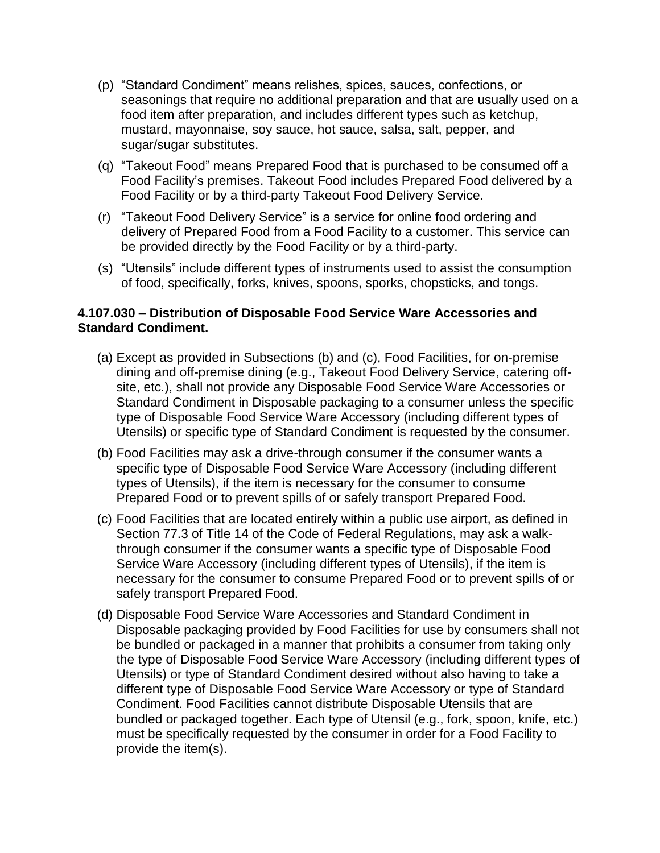- (p) "Standard Condiment" means relishes, spices, sauces, confections, or seasonings that require no additional preparation and that are usually used on a food item after preparation, and includes different types such as ketchup, mustard, mayonnaise, soy sauce, hot sauce, salsa, salt, pepper, and sugar/sugar substitutes.
- (q) "Takeout Food" means Prepared Food that is purchased to be consumed off a Food Facility's premises. Takeout Food includes Prepared Food delivered by a Food Facility or by a third-party Takeout Food Delivery Service.
- (r) "Takeout Food Delivery Service" is a service for online food ordering and delivery of Prepared Food from a Food Facility to a customer. This service can be provided directly by the Food Facility or by a third-party.
- (s) "Utensils" include different types of instruments used to assist the consumption of food, specifically, forks, knives, spoons, sporks, chopsticks, and tongs.

### **4.107.030 – Distribution of Disposable Food Service Ware Accessories and Standard Condiment.**

- (a) Except as provided in Subsections (b) and (c), Food Facilities, for on-premise dining and off-premise dining (e.g., Takeout Food Delivery Service, catering offsite, etc.), shall not provide any Disposable Food Service Ware Accessories or Standard Condiment in Disposable packaging to a consumer unless the specific type of Disposable Food Service Ware Accessory (including different types of Utensils) or specific type of Standard Condiment is requested by the consumer.
- (b) Food Facilities may ask a drive-through consumer if the consumer wants a specific type of Disposable Food Service Ware Accessory (including different types of Utensils), if the item is necessary for the consumer to consume Prepared Food or to prevent spills of or safely transport Prepared Food.
- (c) Food Facilities that are located entirely within a public use airport, as defined in Section 77.3 of Title 14 of the Code of Federal Regulations, may ask a walkthrough consumer if the consumer wants a specific type of Disposable Food Service Ware Accessory (including different types of Utensils), if the item is necessary for the consumer to consume Prepared Food or to prevent spills of or safely transport Prepared Food.
- (d) Disposable Food Service Ware Accessories and Standard Condiment in Disposable packaging provided by Food Facilities for use by consumers shall not be bundled or packaged in a manner that prohibits a consumer from taking only the type of Disposable Food Service Ware Accessory (including different types of Utensils) or type of Standard Condiment desired without also having to take a different type of Disposable Food Service Ware Accessory or type of Standard Condiment. Food Facilities cannot distribute Disposable Utensils that are bundled or packaged together. Each type of Utensil (e.g., fork, spoon, knife, etc.) must be specifically requested by the consumer in order for a Food Facility to provide the item(s).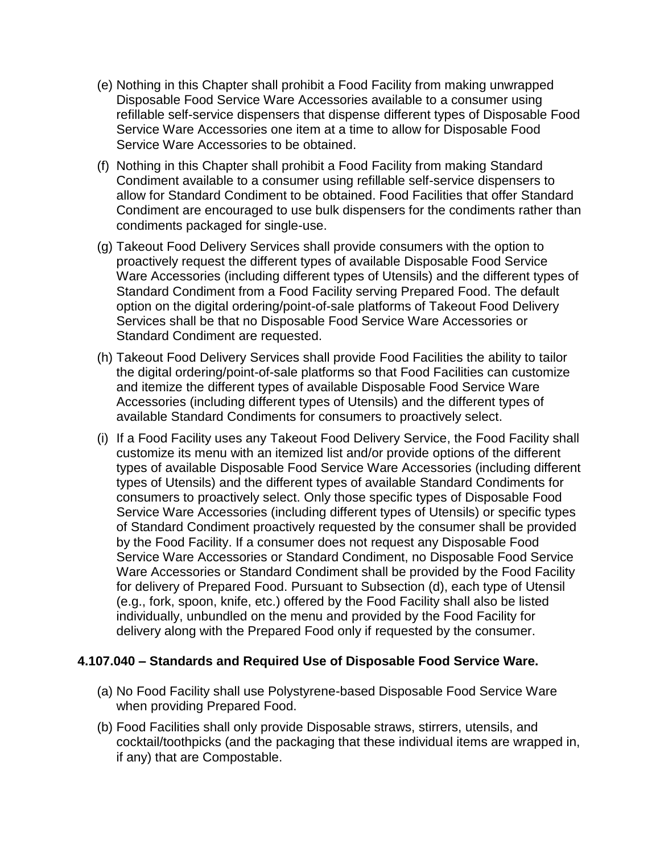- (e) Nothing in this Chapter shall prohibit a Food Facility from making unwrapped Disposable Food Service Ware Accessories available to a consumer using refillable self-service dispensers that dispense different types of Disposable Food Service Ware Accessories one item at a time to allow for Disposable Food Service Ware Accessories to be obtained.
- (f) Nothing in this Chapter shall prohibit a Food Facility from making Standard Condiment available to a consumer using refillable self-service dispensers to allow for Standard Condiment to be obtained. Food Facilities that offer Standard Condiment are encouraged to use bulk dispensers for the condiments rather than condiments packaged for single-use.
- (g) Takeout Food Delivery Services shall provide consumers with the option to proactively request the different types of available Disposable Food Service Ware Accessories (including different types of Utensils) and the different types of Standard Condiment from a Food Facility serving Prepared Food. The default option on the digital ordering/point-of-sale platforms of Takeout Food Delivery Services shall be that no Disposable Food Service Ware Accessories or Standard Condiment are requested.
- (h) Takeout Food Delivery Services shall provide Food Facilities the ability to tailor the digital ordering/point-of-sale platforms so that Food Facilities can customize and itemize the different types of available Disposable Food Service Ware Accessories (including different types of Utensils) and the different types of available Standard Condiments for consumers to proactively select.
- (i) If a Food Facility uses any Takeout Food Delivery Service, the Food Facility shall customize its menu with an itemized list and/or provide options of the different types of available Disposable Food Service Ware Accessories (including different types of Utensils) and the different types of available Standard Condiments for consumers to proactively select. Only those specific types of Disposable Food Service Ware Accessories (including different types of Utensils) or specific types of Standard Condiment proactively requested by the consumer shall be provided by the Food Facility. If a consumer does not request any Disposable Food Service Ware Accessories or Standard Condiment, no Disposable Food Service Ware Accessories or Standard Condiment shall be provided by the Food Facility for delivery of Prepared Food. Pursuant to Subsection (d), each type of Utensil (e.g., fork, spoon, knife, etc.) offered by the Food Facility shall also be listed individually, unbundled on the menu and provided by the Food Facility for delivery along with the Prepared Food only if requested by the consumer.

#### **4.107.040 – Standards and Required Use of Disposable Food Service Ware.**

- (a) No Food Facility shall use Polystyrene-based Disposable Food Service Ware when providing Prepared Food.
- (b) Food Facilities shall only provide Disposable straws, stirrers, utensils, and cocktail/toothpicks (and the packaging that these individual items are wrapped in, if any) that are Compostable.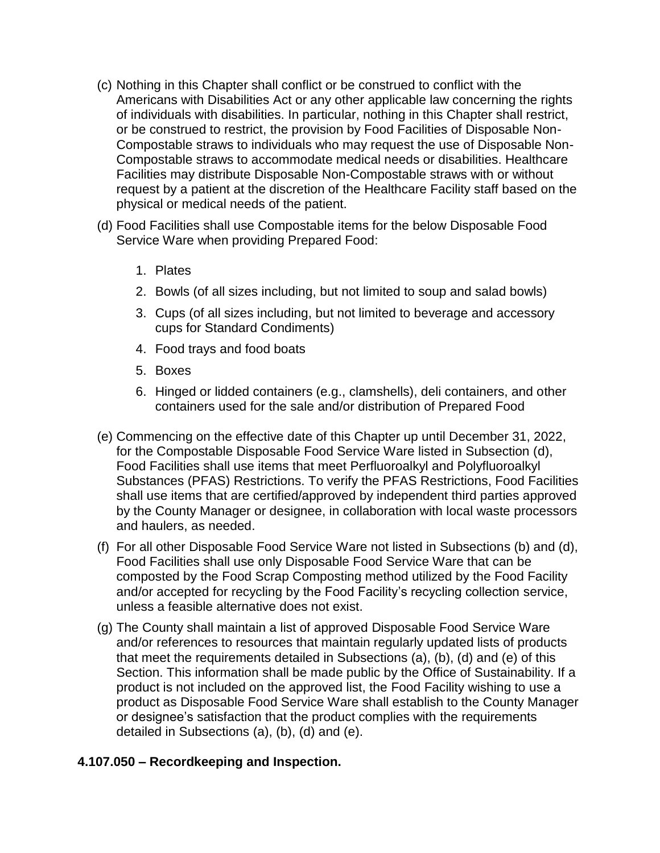- (c) Nothing in this Chapter shall conflict or be construed to conflict with the Americans with Disabilities Act or any other applicable law concerning the rights of individuals with disabilities. In particular, nothing in this Chapter shall restrict, or be construed to restrict, the provision by Food Facilities of Disposable Non-Compostable straws to individuals who may request the use of Disposable Non-Compostable straws to accommodate medical needs or disabilities. Healthcare Facilities may distribute Disposable Non-Compostable straws with or without request by a patient at the discretion of the Healthcare Facility staff based on the physical or medical needs of the patient.
- (d) Food Facilities shall use Compostable items for the below Disposable Food Service Ware when providing Prepared Food:
	- 1. Plates
	- 2. Bowls (of all sizes including, but not limited to soup and salad bowls)
	- 3. Cups (of all sizes including, but not limited to beverage and accessory cups for Standard Condiments)
	- 4. Food trays and food boats
	- 5. Boxes
	- 6. Hinged or lidded containers (e.g., clamshells), deli containers, and other containers used for the sale and/or distribution of Prepared Food
- (e) Commencing on the effective date of this Chapter up until December 31, 2022, for the Compostable Disposable Food Service Ware listed in Subsection (d), Food Facilities shall use items that meet Perfluoroalkyl and Polyfluoroalkyl Substances (PFAS) Restrictions. To verify the PFAS Restrictions, Food Facilities shall use items that are certified/approved by independent third parties approved by the County Manager or designee, in collaboration with local waste processors and haulers, as needed.
- (f) For all other Disposable Food Service Ware not listed in Subsections (b) and (d), Food Facilities shall use only Disposable Food Service Ware that can be composted by the Food Scrap Composting method utilized by the Food Facility and/or accepted for recycling by the Food Facility's recycling collection service, unless a feasible alternative does not exist.
- (g) The County shall maintain a list of approved Disposable Food Service Ware and/or references to resources that maintain regularly updated lists of products that meet the requirements detailed in Subsections (a), (b), (d) and (e) of this Section. This information shall be made public by the Office of Sustainability. If a product is not included on the approved list, the Food Facility wishing to use a product as Disposable Food Service Ware shall establish to the County Manager or designee's satisfaction that the product complies with the requirements detailed in Subsections (a), (b), (d) and (e).

#### **4.107.050 – Recordkeeping and Inspection.**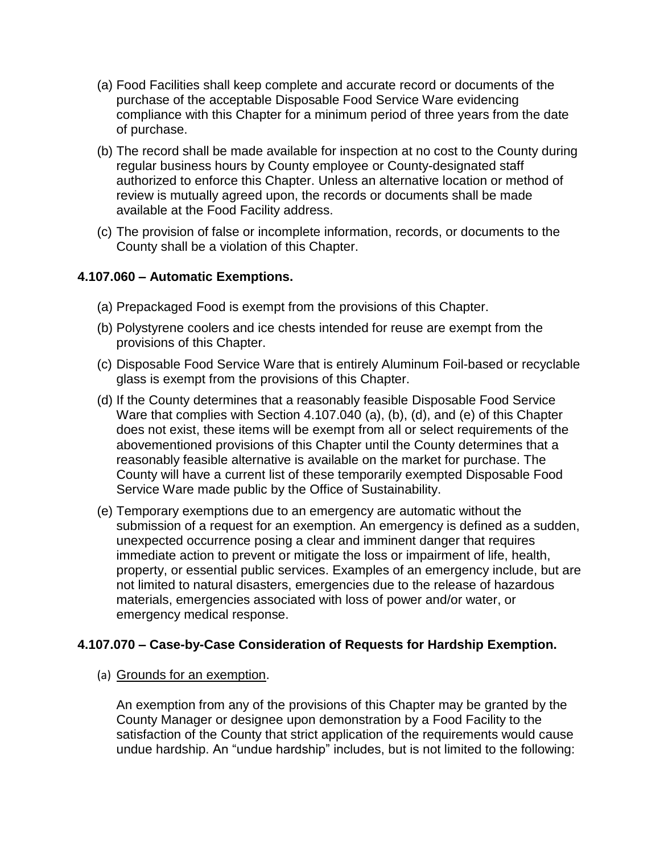- (a) Food Facilities shall keep complete and accurate record or documents of the purchase of the acceptable Disposable Food Service Ware evidencing compliance with this Chapter for a minimum period of three years from the date of purchase.
- (b) The record shall be made available for inspection at no cost to the County during regular business hours by County employee or County-designated staff authorized to enforce this Chapter. Unless an alternative location or method of review is mutually agreed upon, the records or documents shall be made available at the Food Facility address.
- (c) The provision of false or incomplete information, records, or documents to the County shall be a violation of this Chapter.

### **4.107.060 – Automatic Exemptions.**

- (a) Prepackaged Food is exempt from the provisions of this Chapter.
- (b) Polystyrene coolers and ice chests intended for reuse are exempt from the provisions of this Chapter.
- (c) Disposable Food Service Ware that is entirely Aluminum Foil-based or recyclable glass is exempt from the provisions of this Chapter.
- (d) If the County determines that a reasonably feasible Disposable Food Service Ware that complies with Section 4.107.040 (a), (b), (d), and (e) of this Chapter does not exist, these items will be exempt from all or select requirements of the abovementioned provisions of this Chapter until the County determines that a reasonably feasible alternative is available on the market for purchase. The County will have a current list of these temporarily exempted Disposable Food Service Ware made public by the Office of Sustainability.
- (e) Temporary exemptions due to an emergency are automatic without the submission of a request for an exemption. An emergency is defined as a sudden, unexpected occurrence posing a clear and imminent danger that requires immediate action to prevent or mitigate the loss or impairment of life, health, property, or essential public services. Examples of an emergency include, but are not limited to natural disasters, emergencies due to the release of hazardous materials, emergencies associated with loss of power and/or water, or emergency medical response.

#### **4.107.070 – Case-by-Case Consideration of Requests for Hardship Exemption.**

#### (a) Grounds for an exemption.

An exemption from any of the provisions of this Chapter may be granted by the County Manager or designee upon demonstration by a Food Facility to the satisfaction of the County that strict application of the requirements would cause undue hardship. An "undue hardship" includes, but is not limited to the following: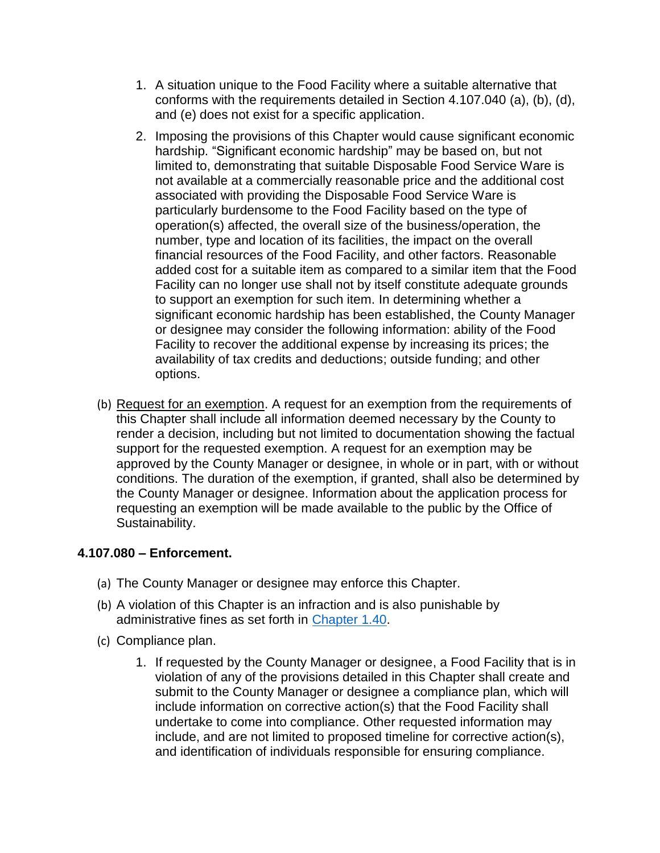- 1. A situation unique to the Food Facility where a suitable alternative that conforms with the requirements detailed in Section 4.107.040 (a), (b), (d), and (e) does not exist for a specific application.
- 2. Imposing the provisions of this Chapter would cause significant economic hardship. "Significant economic hardship" may be based on, but not limited to, demonstrating that suitable Disposable Food Service Ware is not available at a commercially reasonable price and the additional cost associated with providing the Disposable Food Service Ware is particularly burdensome to the Food Facility based on the type of operation(s) affected, the overall size of the business/operation, the number, type and location of its facilities, the impact on the overall financial resources of the Food Facility, and other factors. Reasonable added cost for a suitable item as compared to a similar item that the Food Facility can no longer use shall not by itself constitute adequate grounds to support an exemption for such item. In determining whether a significant economic hardship has been established, the County Manager or designee may consider the following information: ability of the Food Facility to recover the additional expense by increasing its prices; the availability of tax credits and deductions; outside funding; and other options.
- (b) Request for an exemption. A request for an exemption from the requirements of this Chapter shall include all information deemed necessary by the County to render a decision, including but not limited to documentation showing the factual support for the requested exemption. A request for an exemption may be approved by the County Manager or designee, in whole or in part, with or without conditions. The duration of the exemption, if granted, shall also be determined by the County Manager or designee. Information about the application process for requesting an exemption will be made available to the public by the Office of Sustainability.

## **4.107.080 – Enforcement.**

- (a) The County Manager or designee may enforce this Chapter.
- (b) A violation of this Chapter is an infraction and is also punishable by administrative fines as set forth in [Chapter 1.40.](https://library.municode.com/ca/san_mateo_county/codes/code_of_ordinances?nodeId=TIT1GEPR_CH1.40ADRE)
- (c) Compliance plan.
	- 1. If requested by the County Manager or designee, a Food Facility that is in violation of any of the provisions detailed in this Chapter shall create and submit to the County Manager or designee a compliance plan, which will include information on corrective action(s) that the Food Facility shall undertake to come into compliance. Other requested information may include, and are not limited to proposed timeline for corrective action(s), and identification of individuals responsible for ensuring compliance.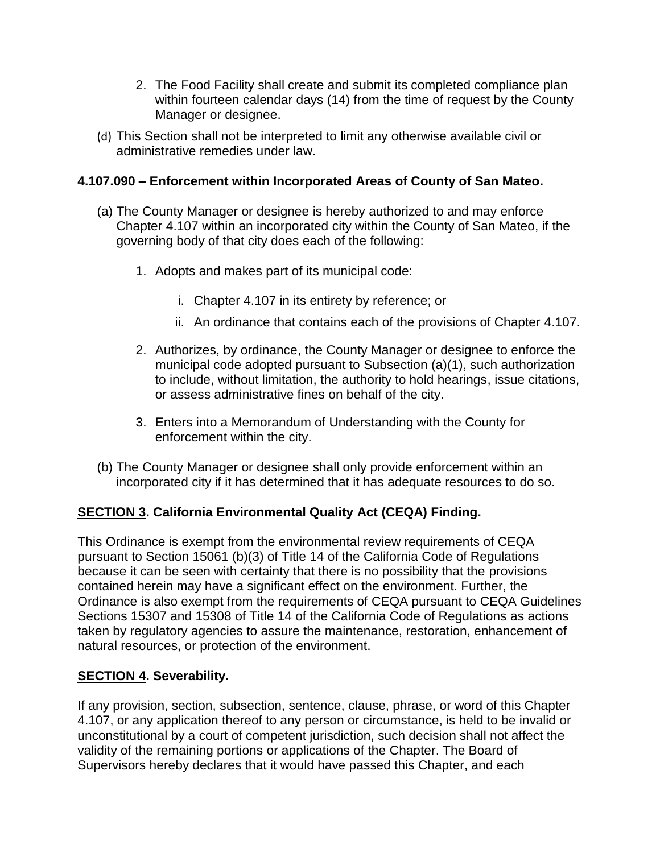- 2. The Food Facility shall create and submit its completed compliance plan within fourteen calendar days (14) from the time of request by the County Manager or designee.
- (d) This Section shall not be interpreted to limit any otherwise available civil or administrative remedies under law.

### **4.107.090 – Enforcement within Incorporated Areas of County of San Mateo.**

- (a) The County Manager or designee is hereby authorized to and may enforce Chapter 4.107 within an incorporated city within the County of San Mateo, if the governing body of that city does each of the following:
	- 1. Adopts and makes part of its municipal code:
		- i. Chapter 4.107 in its entirety by reference; or
		- ii. An ordinance that contains each of the provisions of Chapter 4.107.
	- 2. Authorizes, by ordinance, the County Manager or designee to enforce the municipal code adopted pursuant to Subsection (a)(1), such authorization to include, without limitation, the authority to hold hearings, issue citations, or assess administrative fines on behalf of the city.
	- 3. Enters into a Memorandum of Understanding with the County for enforcement within the city.
- (b) The County Manager or designee shall only provide enforcement within an incorporated city if it has determined that it has adequate resources to do so.

## **SECTION 3. California Environmental Quality Act (CEQA) Finding.**

This Ordinance is exempt from the environmental review requirements of CEQA pursuant to Section 15061 (b)(3) of Title 14 of the California Code of Regulations because it can be seen with certainty that there is no possibility that the provisions contained herein may have a significant effect on the environment. Further, the Ordinance is also exempt from the requirements of CEQA pursuant to CEQA Guidelines Sections 15307 and 15308 of Title 14 of the California Code of Regulations as actions taken by regulatory agencies to assure the maintenance, restoration, enhancement of natural resources, or protection of the environment.

#### **SECTION 4. Severability.**

If any provision, section, subsection, sentence, clause, phrase, or word of this Chapter 4.107, or any application thereof to any person or circumstance, is held to be invalid or unconstitutional by a court of competent jurisdiction, such decision shall not affect the validity of the remaining portions or applications of the Chapter. The Board of Supervisors hereby declares that it would have passed this Chapter, and each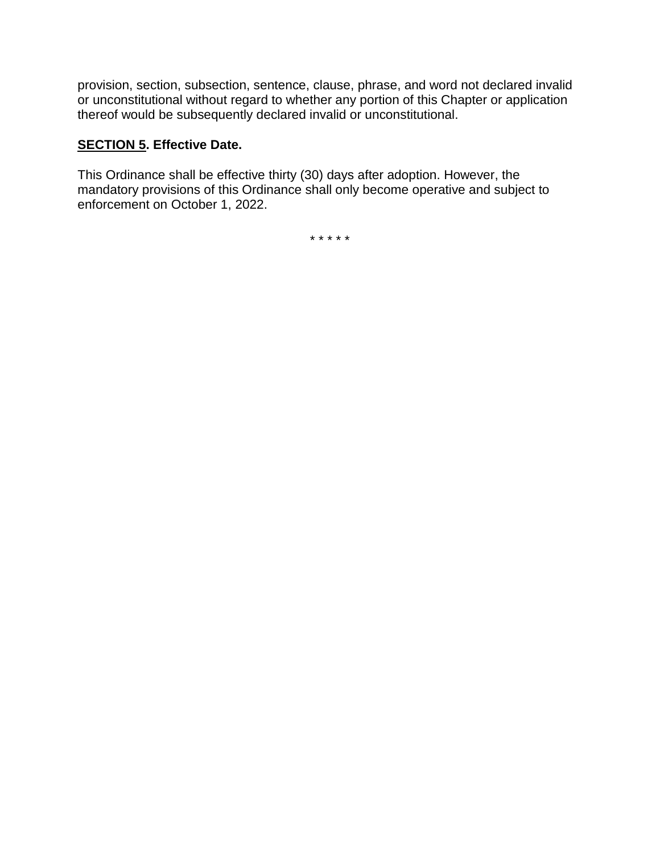provision, section, subsection, sentence, clause, phrase, and word not declared invalid or unconstitutional without regard to whether any portion of this Chapter or application thereof would be subsequently declared invalid or unconstitutional.

### **SECTION 5. Effective Date.**

This Ordinance shall be effective thirty (30) days after adoption. However, the mandatory provisions of this Ordinance shall only become operative and subject to enforcement on October 1, 2022.

\* \* \* \* \*